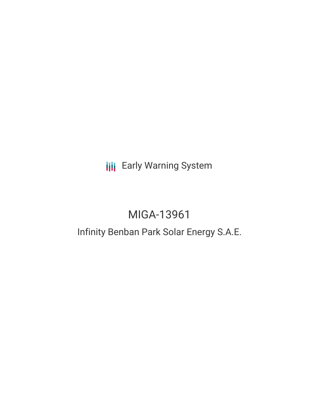**III** Early Warning System

# MIGA-13961

## Infinity Benban Park Solar Energy S.A.E.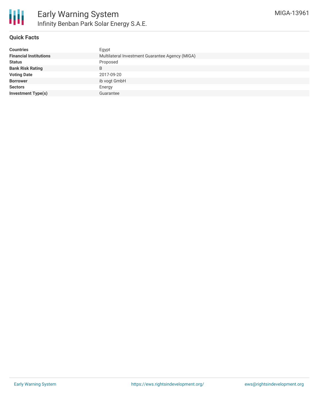

#### **Quick Facts**

| <b>Countries</b>              | Egypt                                           |  |  |  |  |
|-------------------------------|-------------------------------------------------|--|--|--|--|
| <b>Financial Institutions</b> | Multilateral Investment Guarantee Agency (MIGA) |  |  |  |  |
| <b>Status</b>                 | Proposed                                        |  |  |  |  |
| <b>Bank Risk Rating</b>       | B                                               |  |  |  |  |
| <b>Voting Date</b>            | 2017-09-20                                      |  |  |  |  |
| <b>Borrower</b>               | ib vogt GmbH                                    |  |  |  |  |
| <b>Sectors</b>                | Energy                                          |  |  |  |  |
| <b>Investment Type(s)</b>     | Guarantee                                       |  |  |  |  |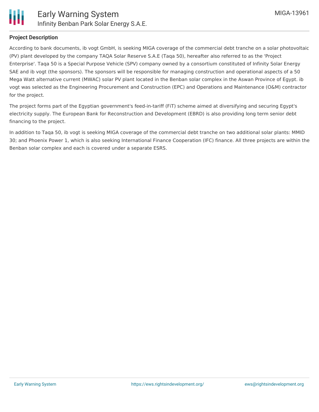

#### **Project Description**

According to bank documents, ib vogt GmbH, is seeking MIGA coverage of the commercial debt tranche on a solar photovoltaic (PV) plant developed by the company TAQA Solar Reserve S.A.E (Taqa 50), hereafter also referred to as the 'Project Enterprise'. Taqa 50 is a Special Purpose Vehicle (SPV) company owned by a consortium constituted of Infinity Solar Energy SAE and ib vogt (the sponsors). The sponsors will be responsible for managing construction and operational aspects of a 50 Mega Watt alternative current (MWAC) solar PV plant located in the Benban solar complex in the Aswan Province of Egypt. ib vogt was selected as the Engineering Procurement and Construction (EPC) and Operations and Maintenance (O&M) contractor for the project.

The project forms part of the Egyptian government's feed-in-tariff (FiT) scheme aimed at diversifying and securing Egypt's electricity supply. The European Bank for Reconstruction and Development (EBRD) is also providing long term senior debt financing to the project.

In addition to Taqa 50, ib vogt is seeking MIGA coverage of the commercial debt tranche on two additional solar plants: MMID 30; and Phoenix Power 1, which is also seeking International Finance Cooperation (IFC) finance. All three projects are within the Benban solar complex and each is covered under a separate ESRS.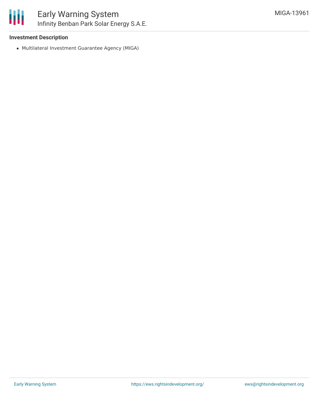

## Early Warning System Infinity Benban Park Solar Energy S.A.E.

#### **Investment Description**

Multilateral Investment Guarantee Agency (MIGA)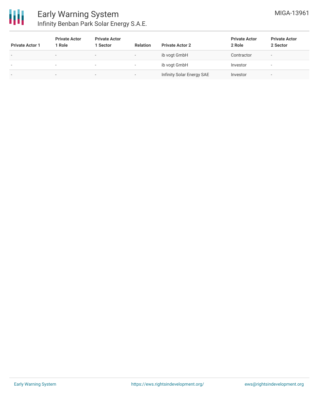

| <b>Private Actor 1</b>   | <b>Private Actor</b><br>1 Role | <b>Private Actor</b><br>Sector | <b>Relation</b>          | <b>Private Actor 2</b>    | <b>Private Actor</b><br>2 Role | <b>Private Actor</b><br>2 Sector |
|--------------------------|--------------------------------|--------------------------------|--------------------------|---------------------------|--------------------------------|----------------------------------|
| $\overline{\phantom{a}}$ | $\overline{\phantom{0}}$       | $\overline{\phantom{0}}$       | $\overline{\phantom{0}}$ | ib vogt GmbH              | Contractor                     | $\overline{\phantom{a}}$         |
| $\overline{\phantom{a}}$ | $\,$                           | $\overline{\phantom{0}}$       | $\overline{\phantom{0}}$ | ib vogt GmbH              | Investor                       | $\overline{\phantom{a}}$         |
| $\overline{\phantom{0}}$ |                                | $\sim$                         | $\overline{\phantom{a}}$ | Infinity Solar Energy SAE | Investor                       | $\overline{\phantom{a}}$         |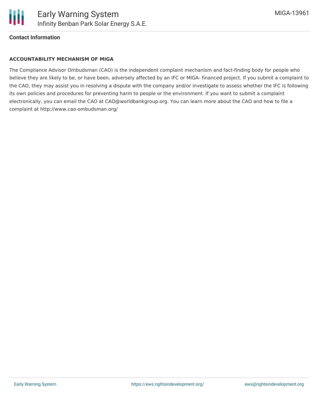

#### **Contact Information**

#### **ACCOUNTABILITY MECHANISM OF MIGA**

The Compliance Advisor Ombudsman (CAO) is the independent complaint mechanism and fact-finding body for people who believe they are likely to be, or have been, adversely affected by an IFC or MIGA- financed project. If you submit a complaint to the CAO, they may assist you in resolving a dispute with the company and/or investigate to assess whether the IFC is following its own policies and procedures for preventing harm to people or the environment. If you want to submit a complaint electronically, you can email the CAO at CAO@worldbankgroup.org. You can learn more about the CAO and how to file a complaint at http://www.cao-ombudsman.org/